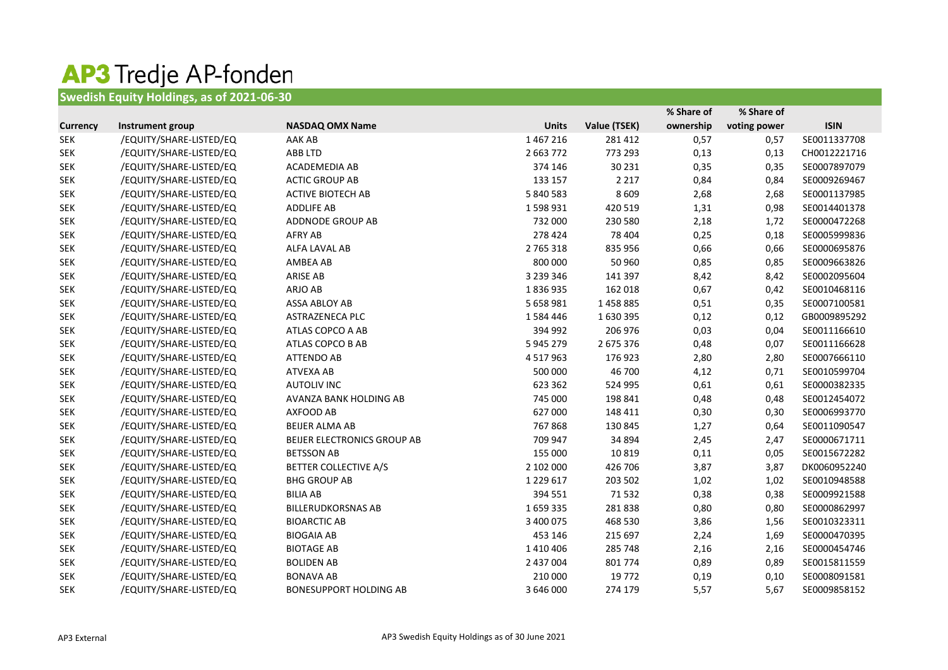## AP3 Tredje AP-fonden

## **Swedish Equity Holdings, as of 2021-06-30**

|                 |                         |                               |               |              | % Share of | % Share of   |              |
|-----------------|-------------------------|-------------------------------|---------------|--------------|------------|--------------|--------------|
| <b>Currency</b> | Instrument group        | <b>NASDAQ OMX Name</b>        | <b>Units</b>  | Value (TSEK) | ownership  | voting power | <b>ISIN</b>  |
| <b>SEK</b>      | /EQUITY/SHARE-LISTED/EQ | AAK AB                        | 1467216       | 281 412      | 0,57       | 0,57         | SE0011337708 |
| <b>SEK</b>      | /EQUITY/SHARE-LISTED/EQ | ABB LTD                       | 2 663 772     | 773 293      | 0,13       | 0,13         | CH0012221716 |
| <b>SEK</b>      | /EQUITY/SHARE-LISTED/EQ | ACADEMEDIA AB                 | 374 146       | 30 231       | 0,35       | 0,35         | SE0007897079 |
| <b>SEK</b>      | /EQUITY/SHARE-LISTED/EQ | <b>ACTIC GROUP AB</b>         | 133 157       | 2 2 1 7      | 0,84       | 0,84         | SE0009269467 |
| <b>SEK</b>      | /EQUITY/SHARE-LISTED/EQ | <b>ACTIVE BIOTECH AB</b>      | 5 840 583     | 8 6 0 9      | 2,68       | 2,68         | SE0001137985 |
| <b>SEK</b>      | /EQUITY/SHARE-LISTED/EQ | <b>ADDLIFE AB</b>             | 1598931       | 420 519      | 1,31       | 0,98         | SE0014401378 |
| <b>SEK</b>      | /EQUITY/SHARE-LISTED/EQ | ADDNODE GROUP AB              | 732 000       | 230 580      | 2,18       | 1,72         | SE0000472268 |
| <b>SEK</b>      | /EQUITY/SHARE-LISTED/EQ | <b>AFRY AB</b>                | 278 424       | 78 404       | 0,25       | 0,18         | SE0005999836 |
| <b>SEK</b>      | /EQUITY/SHARE-LISTED/EQ | ALFA LAVAL AB                 | 2 765 318     | 835 956      | 0,66       | 0,66         | SE0000695876 |
| <b>SEK</b>      | /EQUITY/SHARE-LISTED/EQ | AMBEA AB                      | 800 000       | 50 960       | 0,85       | 0,85         | SE0009663826 |
| <b>SEK</b>      | /EQUITY/SHARE-LISTED/EQ | <b>ARISE AB</b>               | 3 239 346     | 141 397      | 8,42       | 8,42         | SE0002095604 |
| <b>SEK</b>      | /EQUITY/SHARE-LISTED/EQ | ARJO AB                       | 1836935       | 162 018      | 0,67       | 0,42         | SE0010468116 |
| <b>SEK</b>      | /EQUITY/SHARE-LISTED/EQ | ASSA ABLOY AB                 | 5 658 981     | 1458885      | 0,51       | 0,35         | SE0007100581 |
| <b>SEK</b>      | /EQUITY/SHARE-LISTED/EQ | ASTRAZENECA PLC               | 1584446       | 1630395      | 0,12       | 0,12         | GB0009895292 |
| <b>SEK</b>      | /EQUITY/SHARE-LISTED/EQ | ATLAS COPCO A AB              | 394 992       | 206 976      | 0,03       | 0,04         | SE0011166610 |
| <b>SEK</b>      | /EQUITY/SHARE-LISTED/EQ | ATLAS COPCO B AB              | 5 945 279     | 2 675 376    | 0,48       | 0,07         | SE0011166628 |
| <b>SEK</b>      | /EQUITY/SHARE-LISTED/EQ | <b>ATTENDO AB</b>             | 4 5 1 7 9 6 3 | 176923       | 2,80       | 2,80         | SE0007666110 |
| <b>SEK</b>      | /EQUITY/SHARE-LISTED/EQ | ATVEXA AB                     | 500 000       | 46 700       | 4,12       | 0,71         | SE0010599704 |
| <b>SEK</b>      | /EQUITY/SHARE-LISTED/EQ | <b>AUTOLIV INC</b>            | 623 362       | 524 995      | 0,61       | 0,61         | SE0000382335 |
| <b>SEK</b>      | /EQUITY/SHARE-LISTED/EQ | AVANZA BANK HOLDING AB        | 745 000       | 198 841      | 0,48       | 0,48         | SE0012454072 |
| <b>SEK</b>      | /EQUITY/SHARE-LISTED/EQ | AXFOOD AB                     | 627 000       | 148 411      | 0,30       | 0,30         | SE0006993770 |
| <b>SEK</b>      | /EQUITY/SHARE-LISTED/EQ | <b>BEIJER ALMA AB</b>         | 767868        | 130 845      | 1,27       | 0,64         | SE0011090547 |
| <b>SEK</b>      | /EQUITY/SHARE-LISTED/EQ | BEIJER ELECTRONICS GROUP AB   | 709 947       | 34 894       | 2,45       | 2,47         | SE0000671711 |
| <b>SEK</b>      | /EQUITY/SHARE-LISTED/EQ | <b>BETSSON AB</b>             | 155 000       | 10819        | 0,11       | 0,05         | SE0015672282 |
| <b>SEK</b>      | /EQUITY/SHARE-LISTED/EQ | BETTER COLLECTIVE A/S         | 2 102 000     | 426 706      | 3,87       | 3,87         | DK0060952240 |
| <b>SEK</b>      | /EQUITY/SHARE-LISTED/EQ | <b>BHG GROUP AB</b>           | 1 2 2 9 6 1 7 | 203 502      | 1,02       | 1,02         | SE0010948588 |
| <b>SEK</b>      | /EQUITY/SHARE-LISTED/EQ | <b>BILIA AB</b>               | 394 551       | 71532        | 0,38       | 0,38         | SE0009921588 |
| <b>SEK</b>      | /EQUITY/SHARE-LISTED/EQ | <b>BILLERUDKORSNAS AB</b>     | 1659335       | 281838       | 0,80       | 0,80         | SE0000862997 |
| <b>SEK</b>      | /EQUITY/SHARE-LISTED/EQ | <b>BIOARCTIC AB</b>           | 3 400 075     | 468 530      | 3,86       | 1,56         | SE0010323311 |
| <b>SEK</b>      | /EQUITY/SHARE-LISTED/EQ | <b>BIOGAIA AB</b>             | 453 146       | 215 697      | 2,24       | 1,69         | SE0000470395 |
| <b>SEK</b>      | /EQUITY/SHARE-LISTED/EQ | <b>BIOTAGE AB</b>             | 1410406       | 285 748      | 2,16       | 2,16         | SE0000454746 |
| <b>SEK</b>      | /EQUITY/SHARE-LISTED/EQ | <b>BOLIDEN AB</b>             | 2 437 004     | 801 774      | 0,89       | 0,89         | SE0015811559 |
| <b>SEK</b>      | /EQUITY/SHARE-LISTED/EQ | <b>BONAVA AB</b>              | 210 000       | 19772        | 0,19       | 0,10         | SE0008091581 |
| <b>SEK</b>      | /EQUITY/SHARE-LISTED/EQ | <b>BONESUPPORT HOLDING AB</b> | 3 646 000     | 274 179      | 5,57       | 5,67         | SE0009858152 |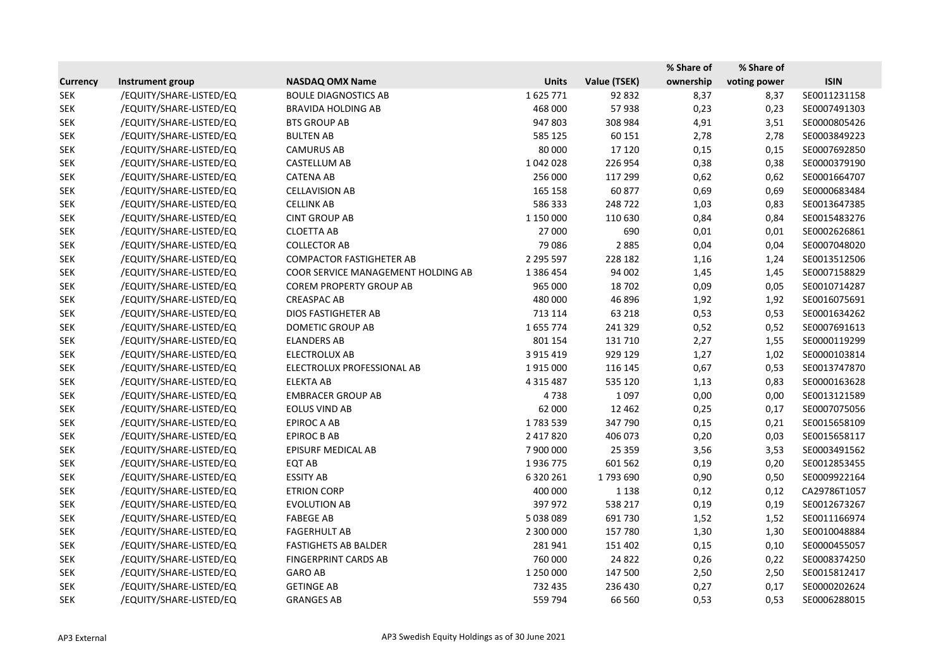|                 |                         |                                    |               |              | % Share of | % Share of   |              |
|-----------------|-------------------------|------------------------------------|---------------|--------------|------------|--------------|--------------|
| <b>Currency</b> | Instrument group        | <b>NASDAQ OMX Name</b>             | <b>Units</b>  | Value (TSEK) | ownership  | voting power | <b>ISIN</b>  |
| <b>SEK</b>      | /EQUITY/SHARE-LISTED/EQ | <b>BOULE DIAGNOSTICS AB</b>        | 1625771       | 92 832       | 8,37       | 8,37         | SE0011231158 |
| <b>SEK</b>      | /EQUITY/SHARE-LISTED/EQ | <b>BRAVIDA HOLDING AB</b>          | 468 000       | 57938        | 0,23       | 0,23         | SE0007491303 |
| <b>SEK</b>      | /EQUITY/SHARE-LISTED/EQ | <b>BTS GROUP AB</b>                | 947 803       | 308 984      | 4,91       | 3,51         | SE0000805426 |
| <b>SEK</b>      | /EQUITY/SHARE-LISTED/EQ | <b>BULTEN AB</b>                   | 585 125       | 60 151       | 2,78       | 2,78         | SE0003849223 |
| <b>SEK</b>      | /EQUITY/SHARE-LISTED/EQ | <b>CAMURUS AB</b>                  | 80 000        | 17 120       | 0,15       | 0,15         | SE0007692850 |
| <b>SEK</b>      | /EQUITY/SHARE-LISTED/EQ | <b>CASTELLUM AB</b>                | 1042028       | 226 954      | 0,38       | 0,38         | SE0000379190 |
| <b>SEK</b>      | /EQUITY/SHARE-LISTED/EQ | <b>CATENA AB</b>                   | 256 000       | 117 299      | 0,62       | 0,62         | SE0001664707 |
| <b>SEK</b>      | /EQUITY/SHARE-LISTED/EQ | <b>CELLAVISION AB</b>              | 165 158       | 60 877       | 0,69       | 0,69         | SE0000683484 |
| <b>SEK</b>      | /EQUITY/SHARE-LISTED/EQ | <b>CELLINK AB</b>                  | 586 333       | 248722       | 1,03       | 0,83         | SE0013647385 |
| <b>SEK</b>      | /EQUITY/SHARE-LISTED/EQ | <b>CINT GROUP AB</b>               | 1 150 000     | 110 630      | 0,84       | 0,84         | SE0015483276 |
| <b>SEK</b>      | /EQUITY/SHARE-LISTED/EQ | <b>CLOETTA AB</b>                  | 27 000        | 690          | 0,01       | 0,01         | SE0002626861 |
| <b>SEK</b>      | /EQUITY/SHARE-LISTED/EQ | <b>COLLECTOR AB</b>                | 79 0 86       | 2885         | 0,04       | 0,04         | SE0007048020 |
| <b>SEK</b>      | /EQUITY/SHARE-LISTED/EQ | <b>COMPACTOR FASTIGHETER AB</b>    | 2 295 597     | 228 182      | 1,16       | 1,24         | SE0013512506 |
| <b>SEK</b>      | /EQUITY/SHARE-LISTED/EQ | COOR SERVICE MANAGEMENT HOLDING AB | 1 386 454     | 94 002       | 1,45       | 1,45         | SE0007158829 |
| <b>SEK</b>      | /EQUITY/SHARE-LISTED/EQ | <b>COREM PROPERTY GROUP AB</b>     | 965 000       | 18702        | 0,09       | 0,05         | SE0010714287 |
| <b>SEK</b>      | /EQUITY/SHARE-LISTED/EQ | <b>CREASPAC AB</b>                 | 480 000       | 46 896       | 1,92       | 1,92         | SE0016075691 |
| <b>SEK</b>      | /EQUITY/SHARE-LISTED/EQ | <b>DIOS FASTIGHETER AB</b>         | 713 114       | 63 218       | 0,53       | 0,53         | SE0001634262 |
| <b>SEK</b>      | /EQUITY/SHARE-LISTED/EQ | <b>DOMETIC GROUP AB</b>            | 1655774       | 241 329      | 0,52       | 0,52         | SE0007691613 |
| <b>SEK</b>      | /EQUITY/SHARE-LISTED/EQ | <b>ELANDERS AB</b>                 | 801 154       | 131 710      | 2,27       | 1,55         | SE0000119299 |
| <b>SEK</b>      | /EQUITY/SHARE-LISTED/EQ | <b>ELECTROLUX AB</b>               | 3 9 1 5 4 1 9 | 929 129      | 1,27       | 1,02         | SE0000103814 |
| <b>SEK</b>      | /EQUITY/SHARE-LISTED/EQ | ELECTROLUX PROFESSIONAL AB         | 1915000       | 116 145      | 0,67       | 0,53         | SE0013747870 |
| <b>SEK</b>      | /EQUITY/SHARE-LISTED/EQ | <b>ELEKTA AB</b>                   | 4 3 1 5 4 8 7 | 535 120      | 1,13       | 0,83         | SE0000163628 |
| <b>SEK</b>      | /EQUITY/SHARE-LISTED/EQ | <b>EMBRACER GROUP AB</b>           | 4738          | 1097         | 0,00       | 0,00         | SE0013121589 |
| <b>SEK</b>      | /EQUITY/SHARE-LISTED/EQ | <b>EOLUS VIND AB</b>               | 62 000        | 12 4 62      | 0,25       | 0,17         | SE0007075056 |
| <b>SEK</b>      | /EQUITY/SHARE-LISTED/EQ | EPIROC A AB                        | 1783539       | 347 790      | 0,15       | 0,21         | SE0015658109 |
| <b>SEK</b>      | /EQUITY/SHARE-LISTED/EQ | <b>EPIROC B AB</b>                 | 2 417 820     | 406 073      | 0,20       | 0,03         | SE0015658117 |
| <b>SEK</b>      | /EQUITY/SHARE-LISTED/EQ | EPISURF MEDICAL AB                 | 7 900 000     | 25 3 5 9     | 3,56       | 3,53         | SE0003491562 |
| <b>SEK</b>      | /EQUITY/SHARE-LISTED/EQ | EQT AB                             | 1936775       | 601 562      | 0,19       | 0,20         | SE0012853455 |
| <b>SEK</b>      | /EQUITY/SHARE-LISTED/EQ | <b>ESSITY AB</b>                   | 6 3 2 0 2 6 1 | 1793690      | 0,90       | 0,50         | SE0009922164 |
| <b>SEK</b>      | /EQUITY/SHARE-LISTED/EQ | ETRION CORP                        | 400 000       | 1 1 3 8      | 0,12       | 0,12         | CA29786T1057 |
| <b>SEK</b>      | /EQUITY/SHARE-LISTED/EQ | <b>EVOLUTION AB</b>                | 397 972       | 538 217      | 0,19       | 0,19         | SE0012673267 |
| <b>SEK</b>      | /EQUITY/SHARE-LISTED/EQ | <b>FABEGE AB</b>                   | 5 038 089     | 691730       | 1,52       | 1,52         | SE0011166974 |
| <b>SEK</b>      | /EQUITY/SHARE-LISTED/EQ | <b>FAGERHULT AB</b>                | 2 300 000     | 157780       | 1,30       | 1,30         | SE0010048884 |
| <b>SEK</b>      | /EQUITY/SHARE-LISTED/EQ | <b>FASTIGHETS AB BALDER</b>        | 281941        | 151 402      | 0,15       | 0,10         | SE0000455057 |
| <b>SEK</b>      | /EQUITY/SHARE-LISTED/EQ | <b>FINGERPRINT CARDS AB</b>        | 760 000       | 24 8 22      | 0,26       | 0,22         | SE0008374250 |
| <b>SEK</b>      | /EQUITY/SHARE-LISTED/EQ | <b>GARO AB</b>                     | 1 250 000     | 147 500      | 2,50       | 2,50         | SE0015812417 |
| <b>SEK</b>      | /EQUITY/SHARE-LISTED/EQ | <b>GETINGE AB</b>                  | 732 435       | 236 430      | 0,27       | 0,17         | SE0000202624 |
| <b>SEK</b>      | /EQUITY/SHARE-LISTED/EQ | <b>GRANGES AB</b>                  | 559 794       | 66 560       | 0,53       | 0,53         | SE0006288015 |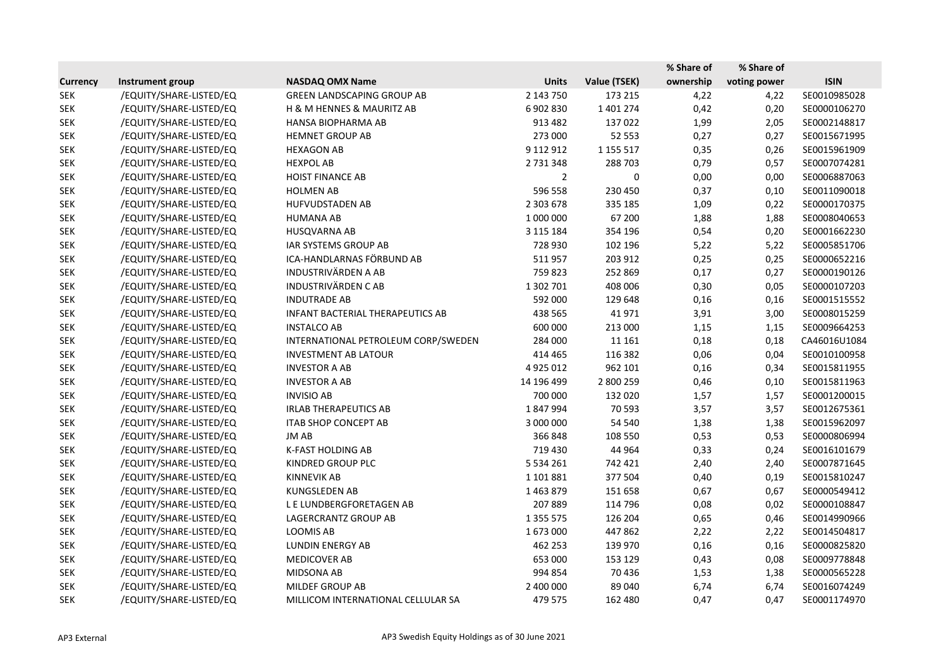|                 |                         |                                     |                |               | % Share of | % Share of   |              |
|-----------------|-------------------------|-------------------------------------|----------------|---------------|------------|--------------|--------------|
| <b>Currency</b> | Instrument group        | <b>NASDAQ OMX Name</b>              | <b>Units</b>   | Value (TSEK)  | ownership  | voting power | <b>ISIN</b>  |
| <b>SEK</b>      | /EQUITY/SHARE-LISTED/EQ | <b>GREEN LANDSCAPING GROUP AB</b>   | 2 143 750      | 173 215       | 4,22       | 4,22         | SE0010985028 |
| <b>SEK</b>      | /EQUITY/SHARE-LISTED/EQ | H & M HENNES & MAURITZ AB           | 6 902 830      | 1 401 274     | 0,42       | 0,20         | SE0000106270 |
| <b>SEK</b>      | /EQUITY/SHARE-LISTED/EQ | HANSA BIOPHARMA AB                  | 913 482        | 137022        | 1,99       | 2,05         | SE0002148817 |
| <b>SEK</b>      | /EQUITY/SHARE-LISTED/EQ | <b>HEMNET GROUP AB</b>              | 273 000        | 52 553        | 0,27       | 0,27         | SE0015671995 |
| <b>SEK</b>      | /EQUITY/SHARE-LISTED/EQ | <b>HEXAGON AB</b>                   | 9 112 912      | 1 1 5 5 5 1 7 | 0,35       | 0,26         | SE0015961909 |
| <b>SEK</b>      | /EQUITY/SHARE-LISTED/EQ | <b>HEXPOL AB</b>                    | 2 731 348      | 288 703       | 0,79       | 0,57         | SE0007074281 |
| <b>SEK</b>      | /EQUITY/SHARE-LISTED/EQ | <b>HOIST FINANCE AB</b>             | $\overline{2}$ | 0             | 0,00       | 0,00         | SE0006887063 |
| <b>SEK</b>      | /EQUITY/SHARE-LISTED/EQ | <b>HOLMEN AB</b>                    | 596 558        | 230 450       | 0,37       | 0,10         | SE0011090018 |
| <b>SEK</b>      | /EQUITY/SHARE-LISTED/EQ | HUFVUDSTADEN AB                     | 2 303 678      | 335 185       | 1,09       | 0,22         | SE0000170375 |
| <b>SEK</b>      | /EQUITY/SHARE-LISTED/EQ | <b>HUMANA AB</b>                    | 1 000 000      | 67 200        | 1,88       | 1,88         | SE0008040653 |
| <b>SEK</b>      | /EQUITY/SHARE-LISTED/EQ | HUSQVARNA AB                        | 3 115 184      | 354 196       | 0,54       | 0,20         | SE0001662230 |
| <b>SEK</b>      | /EQUITY/SHARE-LISTED/EQ | IAR SYSTEMS GROUP AB                | 728 930        | 102 196       | 5,22       | 5,22         | SE0005851706 |
| <b>SEK</b>      | /EQUITY/SHARE-LISTED/EQ | ICA-HANDLARNAS FÖRBUND AB           | 511957         | 203 912       | 0,25       | 0,25         | SE0000652216 |
| <b>SEK</b>      | /EQUITY/SHARE-LISTED/EQ | <b>INDUSTRIVÄRDEN A AB</b>          | 759 823        | 252 869       | 0,17       | 0,27         | SE0000190126 |
| <b>SEK</b>      | /EQUITY/SHARE-LISTED/EQ | <b>INDUSTRIVÄRDEN CAB</b>           | 1 302 701      | 408 006       | 0,30       | 0,05         | SE0000107203 |
| <b>SEK</b>      | /EQUITY/SHARE-LISTED/EQ | <b>INDUTRADE AB</b>                 | 592 000        | 129 648       | 0,16       | 0,16         | SE0001515552 |
| <b>SEK</b>      | /EQUITY/SHARE-LISTED/EQ | INFANT BACTERIAL THERAPEUTICS AB    | 438 565        | 41 971        | 3,91       | 3,00         | SE0008015259 |
| <b>SEK</b>      | /EQUITY/SHARE-LISTED/EQ | <b>INSTALCO AB</b>                  | 600 000        | 213 000       | 1,15       | 1,15         | SE0009664253 |
| <b>SEK</b>      | /EQUITY/SHARE-LISTED/EQ | INTERNATIONAL PETROLEUM CORP/SWEDEN | 284 000        | 11 161        | 0,18       | 0,18         | CA46016U1084 |
| <b>SEK</b>      | /EQUITY/SHARE-LISTED/EQ | <b>INVESTMENT AB LATOUR</b>         | 414 465        | 116 382       | 0,06       | 0,04         | SE0010100958 |
| <b>SEK</b>      | /EQUITY/SHARE-LISTED/EQ | <b>INVESTOR A AB</b>                | 4 9 2 5 0 1 2  | 962 101       | 0,16       | 0,34         | SE0015811955 |
| <b>SEK</b>      | /EQUITY/SHARE-LISTED/EQ | <b>INVESTOR A AB</b>                | 14 196 499     | 2 800 259     | 0,46       | 0,10         | SE0015811963 |
| <b>SEK</b>      | /EQUITY/SHARE-LISTED/EQ | <b>INVISIO AB</b>                   | 700 000        | 132 020       | 1,57       | 1,57         | SE0001200015 |
| <b>SEK</b>      | /EQUITY/SHARE-LISTED/EQ | <b>IRLAB THERAPEUTICS AB</b>        | 1847994        | 70 593        | 3,57       | 3,57         | SE0012675361 |
| <b>SEK</b>      | /EQUITY/SHARE-LISTED/EQ | <b>ITAB SHOP CONCEPT AB</b>         | 3 000 000      | 54 540        | 1,38       | 1,38         | SE0015962097 |
| <b>SEK</b>      | /EQUITY/SHARE-LISTED/EQ | JM AB                               | 366848         | 108 550       | 0,53       | 0,53         | SE0000806994 |
| <b>SEK</b>      | /EQUITY/SHARE-LISTED/EQ | <b>K-FAST HOLDING AB</b>            | 719 430        | 44 9 64       | 0,33       | 0,24         | SE0016101679 |
| <b>SEK</b>      | /EQUITY/SHARE-LISTED/EQ | KINDRED GROUP PLC                   | 5 5 3 4 2 6 1  | 742 421       | 2,40       | 2,40         | SE0007871645 |
| <b>SEK</b>      | /EQUITY/SHARE-LISTED/EQ | <b>KINNEVIK AB</b>                  | 1 101 881      | 377 504       | 0,40       | 0,19         | SE0015810247 |
| <b>SEK</b>      | /EQUITY/SHARE-LISTED/EQ | KUNGSLEDEN AB                       | 1 463 879      | 151 658       | 0,67       | 0,67         | SE0000549412 |
| <b>SEK</b>      | /EQUITY/SHARE-LISTED/EQ | L E LUNDBERGFORETAGEN AB            | 207 889        | 114 796       | 0,08       | 0,02         | SE0000108847 |
| <b>SEK</b>      | /EQUITY/SHARE-LISTED/EQ | LAGERCRANTZ GROUP AB                | 1 3 5 5 5 7 5  | 126 204       | 0,65       | 0,46         | SE0014990966 |
| <b>SEK</b>      | /EQUITY/SHARE-LISTED/EQ | LOOMIS AB                           | 1673000        | 447862        | 2,22       | 2,22         | SE0014504817 |
| <b>SEK</b>      | /EQUITY/SHARE-LISTED/EQ | LUNDIN ENERGY AB                    | 462 253        | 139 970       | 0,16       | 0,16         | SE0000825820 |
| <b>SEK</b>      | /EQUITY/SHARE-LISTED/EQ | <b>MEDICOVER AB</b>                 | 653 000        | 153 129       | 0,43       | 0,08         | SE0009778848 |
| <b>SEK</b>      | /EQUITY/SHARE-LISTED/EQ | MIDSONA AB                          | 994 854        | 70 436        | 1,53       | 1,38         | SE0000565228 |
| <b>SEK</b>      | /EQUITY/SHARE-LISTED/EQ | MILDEF GROUP AB                     | 2 400 000      | 89 040        | 6,74       | 6,74         | SE0016074249 |
| <b>SEK</b>      | /EQUITY/SHARE-LISTED/EQ | MILLICOM INTERNATIONAL CELLULAR SA  | 479 575        | 162 480       | 0,47       | 0,47         | SE0001174970 |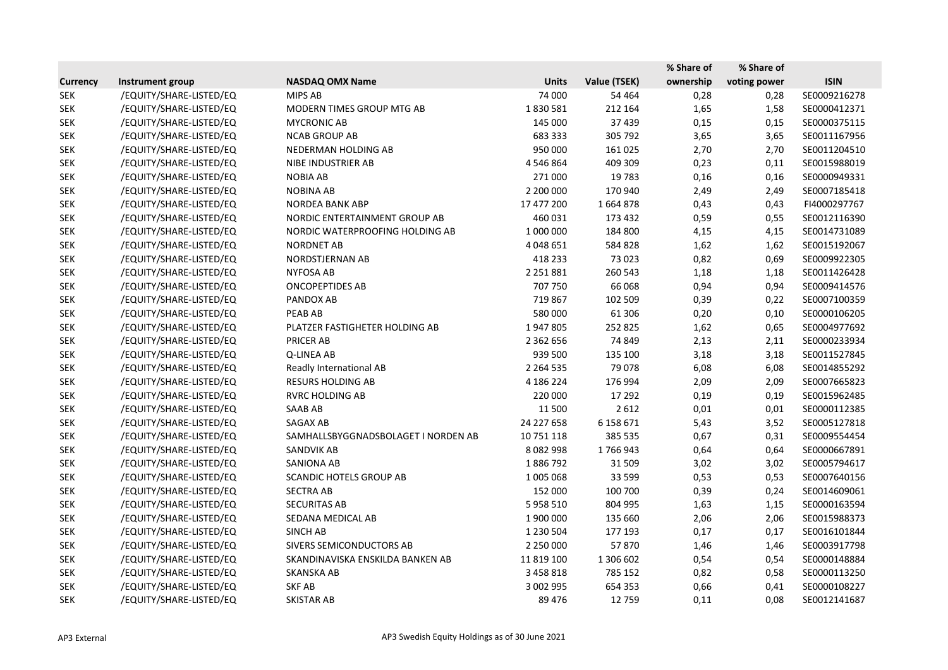|                 |                         |                                     |               |              | % Share of | % Share of   |              |
|-----------------|-------------------------|-------------------------------------|---------------|--------------|------------|--------------|--------------|
| <b>Currency</b> | Instrument group        | <b>NASDAQ OMX Name</b>              | <b>Units</b>  | Value (TSEK) | ownership  | voting power | <b>ISIN</b>  |
| <b>SEK</b>      | /EQUITY/SHARE-LISTED/EQ | MIPS AB                             | 74 000        | 54 4 64      | 0,28       | 0,28         | SE0009216278 |
| <b>SEK</b>      | /EQUITY/SHARE-LISTED/EQ | MODERN TIMES GROUP MTG AB           | 1830581       | 212 164      | 1,65       | 1,58         | SE0000412371 |
| <b>SEK</b>      | /EQUITY/SHARE-LISTED/EQ | <b>MYCRONIC AB</b>                  | 145 000       | 37 439       | 0,15       | 0,15         | SE0000375115 |
| <b>SEK</b>      | /EQUITY/SHARE-LISTED/EQ | <b>NCAB GROUP AB</b>                | 683 333       | 305 792      | 3,65       | 3,65         | SE0011167956 |
| <b>SEK</b>      | /EQUITY/SHARE-LISTED/EQ | NEDERMAN HOLDING AB                 | 950 000       | 161 025      | 2,70       | 2,70         | SE0011204510 |
| <b>SEK</b>      | /EQUITY/SHARE-LISTED/EQ | NIBE INDUSTRIER AB                  | 4 546 864     | 409 309      | 0,23       | 0,11         | SE0015988019 |
| <b>SEK</b>      | /EQUITY/SHARE-LISTED/EQ | <b>NOBIA AB</b>                     | 271 000       | 19783        | 0,16       | 0,16         | SE0000949331 |
| <b>SEK</b>      | /EQUITY/SHARE-LISTED/EQ | <b>NOBINA AB</b>                    | 2 200 000     | 170 940      | 2,49       | 2,49         | SE0007185418 |
| <b>SEK</b>      | /EQUITY/SHARE-LISTED/EQ | <b>NORDEA BANK ABP</b>              | 17 477 200    | 1664878      | 0,43       | 0,43         | FI4000297767 |
| <b>SEK</b>      | /EQUITY/SHARE-LISTED/EQ | NORDIC ENTERTAINMENT GROUP AB       | 460 031       | 173 432      | 0,59       | 0,55         | SE0012116390 |
| <b>SEK</b>      | /EQUITY/SHARE-LISTED/EQ | NORDIC WATERPROOFING HOLDING AB     | 1 000 000     | 184 800      | 4,15       | 4,15         | SE0014731089 |
| <b>SEK</b>      | /EQUITY/SHARE-LISTED/EQ | <b>NORDNET AB</b>                   | 4 048 651     | 584 828      | 1,62       | 1,62         | SE0015192067 |
| <b>SEK</b>      | /EQUITY/SHARE-LISTED/EQ | NORDSTJERNAN AB                     | 418 233       | 73 0 23      | 0,82       | 0,69         | SE0009922305 |
| <b>SEK</b>      | /EQUITY/SHARE-LISTED/EQ | <b>NYFOSA AB</b>                    | 2 2 5 1 8 8 1 | 260 543      | 1,18       | 1,18         | SE0011426428 |
| <b>SEK</b>      | /EQUITY/SHARE-LISTED/EQ | <b>ONCOPEPTIDES AB</b>              | 707 750       | 66 068       | 0,94       | 0,94         | SE0009414576 |
| <b>SEK</b>      | /EQUITY/SHARE-LISTED/EQ | PANDOX AB                           | 719 867       | 102 509      | 0,39       | 0,22         | SE0007100359 |
| <b>SEK</b>      | /EQUITY/SHARE-LISTED/EQ | <b>PEAB AB</b>                      | 580 000       | 61 30 6      | 0,20       | 0,10         | SE0000106205 |
| <b>SEK</b>      | /EQUITY/SHARE-LISTED/EQ | PLATZER FASTIGHETER HOLDING AB      | 1947805       | 252 825      | 1,62       | 0,65         | SE0004977692 |
| <b>SEK</b>      | /EQUITY/SHARE-LISTED/EQ | <b>PRICER AB</b>                    | 2 3 6 2 6 5 6 | 74 849       | 2,13       | 2,11         | SE0000233934 |
| <b>SEK</b>      | /EQUITY/SHARE-LISTED/EQ | Q-LINEA AB                          | 939 500       | 135 100      | 3,18       | 3,18         | SE0011527845 |
| <b>SEK</b>      | /EQUITY/SHARE-LISTED/EQ | Readly International AB             | 2 2 6 4 5 3 5 | 79 0 78      | 6,08       | 6,08         | SE0014855292 |
| <b>SEK</b>      | /EQUITY/SHARE-LISTED/EQ | <b>RESURS HOLDING AB</b>            | 4 186 224     | 176 994      | 2,09       | 2,09         | SE0007665823 |
| <b>SEK</b>      | /EQUITY/SHARE-LISTED/EQ | <b>RVRC HOLDING AB</b>              | 220 000       | 17 29 2      | 0,19       | 0,19         | SE0015962485 |
| <b>SEK</b>      | /EQUITY/SHARE-LISTED/EQ | SAAB AB                             | 11 500        | 2612         | 0,01       | 0,01         | SE0000112385 |
| <b>SEK</b>      | /EQUITY/SHARE-LISTED/EQ | SAGAX AB                            | 24 227 658    | 6 158 671    | 5,43       | 3,52         | SE0005127818 |
| <b>SEK</b>      | /EQUITY/SHARE-LISTED/EQ | SAMHALLSBYGGNADSBOLAGET I NORDEN AB | 10 751 118    | 385 535      | 0,67       | 0,31         | SE0009554454 |
| <b>SEK</b>      | /EQUITY/SHARE-LISTED/EQ | SANDVIK AB                          | 8 0 8 2 9 9 8 | 1766943      | 0,64       | 0,64         | SE0000667891 |
| <b>SEK</b>      | /EQUITY/SHARE-LISTED/EQ | SANIONA AB                          | 1886792       | 31 509       | 3,02       | 3,02         | SE0005794617 |
| <b>SEK</b>      | /EQUITY/SHARE-LISTED/EQ | SCANDIC HOTELS GROUP AB             | 1 005 068     | 33 599       | 0,53       | 0,53         | SE0007640156 |
| <b>SEK</b>      | /EQUITY/SHARE-LISTED/EQ | SECTRA AB                           | 152 000       | 100 700      | 0,39       | 0,24         | SE0014609061 |
| <b>SEK</b>      | /EQUITY/SHARE-LISTED/EQ | <b>SECURITAS AB</b>                 | 5 9 5 8 5 1 0 | 804 995      | 1,63       | 1,15         | SE0000163594 |
| <b>SEK</b>      | /EQUITY/SHARE-LISTED/EQ | SEDANA MEDICAL AB                   | 1 900 000     | 135 660      | 2,06       | 2,06         | SE0015988373 |
| <b>SEK</b>      | /EQUITY/SHARE-LISTED/EQ | SINCH AB                            | 1 230 504     | 177 193      | 0,17       | 0,17         | SE0016101844 |
| <b>SEK</b>      | /EQUITY/SHARE-LISTED/EQ | SIVERS SEMICONDUCTORS AB            | 2 250 000     | 57870        | 1,46       | 1,46         | SE0003917798 |
| <b>SEK</b>      | /EQUITY/SHARE-LISTED/EQ | SKANDINAVISKA ENSKILDA BANKEN AB    | 11 819 100    | 1 306 602    | 0,54       | 0,54         | SE0000148884 |
| <b>SEK</b>      | /EQUITY/SHARE-LISTED/EQ | <b>SKANSKA AB</b>                   | 3 458 818     | 785 152      | 0,82       | 0,58         | SE0000113250 |
| <b>SEK</b>      | /EQUITY/SHARE-LISTED/EQ | <b>SKF AB</b>                       | 3 002 995     | 654 353      | 0,66       | 0,41         | SE0000108227 |
| <b>SEK</b>      | /EQUITY/SHARE-LISTED/EQ | SKISTAR AB                          | 89 4 76       | 12 759       | 0,11       | 0,08         | SE0012141687 |